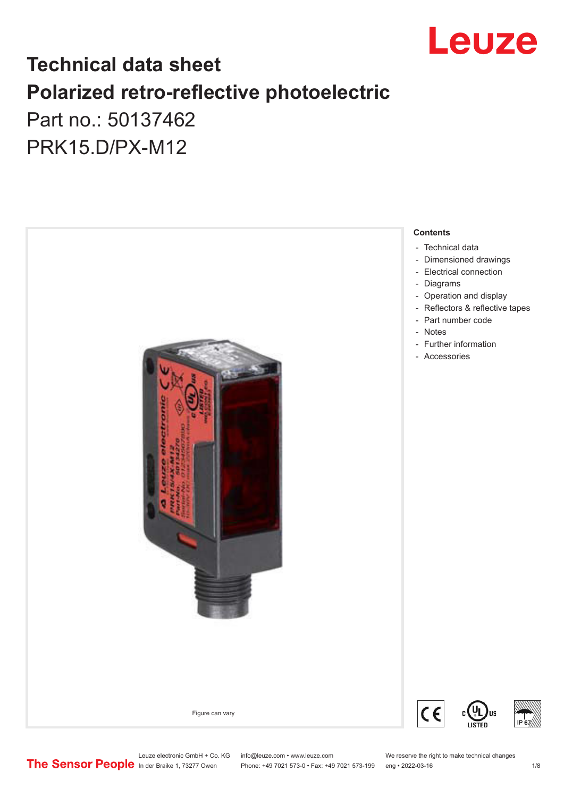

## **Technical data sheet Polarized retro-reflective photoelectric**  Part no.: 50137462

PRK15.D/PX-M12



Leuze electronic GmbH + Co. KG info@leuze.com • www.leuze.com We reserve the right to make technical changes<br>
The Sensor People in der Braike 1, 73277 Owen Phone: +49 7021 573-0 • Fax: +49 7021 573-199 eng • 2022-03-16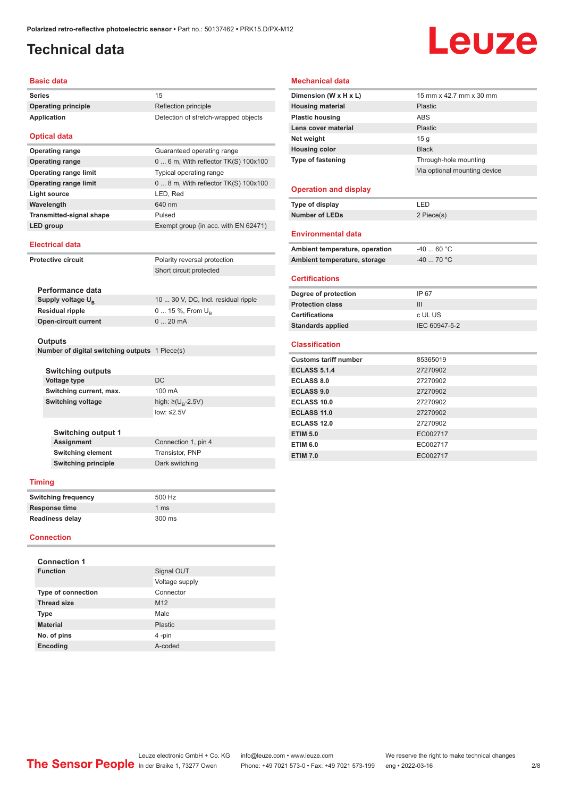### <span id="page-1-0"></span>**Technical data**

# Leuze

#### **Basic data**

| <b>Series</b>                | 15                                   |
|------------------------------|--------------------------------------|
| <b>Operating principle</b>   | Reflection principle                 |
| <b>Application</b>           | Detection of stretch-wrapped objects |
| <b>Optical data</b>          |                                      |
| <b>Operating range</b>       | Guaranteed operating range           |
| <b>Operating range</b>       | 0  6 m, With reflector TK(S) 100x100 |
| <b>Operating range limit</b> | Typical operating range              |

| Operating range limit           | Typical operating range                |
|---------------------------------|----------------------------------------|
| <b>Operating range limit</b>    | $08$ m, With reflector TK(S) $100x100$ |
| Light source                    | LED, Red                               |
| Wavelength                      | 640 nm                                 |
| <b>Transmitted-signal shape</b> | Pulsed                                 |
| LED group                       | Exempt group (in acc. with EN 62471)   |
|                                 |                                        |

#### **Electrical data**

| <b>Protective circuit</b> |                                                | Polarity reversal protection        |
|---------------------------|------------------------------------------------|-------------------------------------|
|                           |                                                | Short circuit protected             |
|                           |                                                |                                     |
|                           | Performance data                               |                                     |
|                           | Supply voltage $U_{\rm B}$                     | 10  30 V, DC, Incl. residual ripple |
|                           | <b>Residual ripple</b>                         | $0 15 \%$ , From $U_{\rm B}$        |
|                           | <b>Open-circuit current</b>                    | $020$ mA                            |
|                           |                                                |                                     |
|                           | <b>Outputs</b>                                 |                                     |
|                           | Number of digital switching outputs 1 Piece(s) |                                     |

| <b>Switching outputs</b> |                                    |  |
|--------------------------|------------------------------------|--|
| Voltage type             | DC.                                |  |
| Switching current, max.  | 100 mA                             |  |
| Switching voltage        | high: $\geq (U_{\text{B}} - 2.5V)$ |  |
|                          | low: $\leq 2.5V$                   |  |

#### **Switching output 1 Connection 1, pin 4 Switching element** Transistor, PNP **Switching principle** Dark switching

#### **Timing**

| <b>Switching frequency</b> | 500 Hz          |
|----------------------------|-----------------|
| <b>Response time</b>       | 1 <sub>ms</sub> |
| <b>Readiness delay</b>     | 300 ms          |

#### **Connection**

| <b>Connection 1</b>       |                 |  |
|---------------------------|-----------------|--|
| <b>Function</b>           | Signal OUT      |  |
|                           | Voltage supply  |  |
| <b>Type of connection</b> | Connector       |  |
| <b>Thread size</b>        | M <sub>12</sub> |  |
| <b>Type</b>               | Male            |  |
| <b>Material</b>           | <b>Plastic</b>  |  |
| No. of pins               | 4-pin           |  |
| Encoding                  | A-coded         |  |

#### **Mechanical data**

| Dimension (W x H x L)          | 15 mm x 42.7 mm x 30 mm      |
|--------------------------------|------------------------------|
| <b>Housing material</b>        | Plastic                      |
| <b>Plastic housing</b>         | <b>ABS</b>                   |
| Lens cover material            | Plastic                      |
| Net weight                     | 15q                          |
| <b>Housing color</b>           | <b>Black</b>                 |
| <b>Type of fastening</b>       | Through-hole mounting        |
|                                | Via optional mounting device |
|                                |                              |
| <b>Operation and display</b>   |                              |
| Type of display                | LED                          |
| <b>Number of LEDs</b>          | 2 Piece(s)                   |
|                                |                              |
| <b>Environmental data</b>      |                              |
| Ambient temperature, operation | $-4060 °C$                   |
| Ambient temperature, storage   | $-40$ 70 °C                  |
| <b>Certifications</b>          |                              |
| Degree of protection           | IP 67                        |
| <b>Protection class</b>        | III                          |
| <b>Certifications</b>          | c UL US                      |
| <b>Standards applied</b>       | IEC 60947-5-2                |
|                                |                              |
| <b>Classification</b>          |                              |
| <b>Customs tariff number</b>   | 85365019                     |
| <b>ECLASS 5.1.4</b>            | 27270902                     |
| <b>ECLASS 8.0</b>              | 27270902                     |
| <b>ECLASS 9.0</b>              | 27270902                     |
| <b>ECLASS 10.0</b>             | 27270902                     |
| <b>ECLASS 11.0</b>             | 27270902                     |
| <b>ECLASS 12.0</b>             | 27270902                     |
| <b>ETIM 5.0</b>                | EC002717                     |
| <b>ETIM 6.0</b>                | EC002717                     |
| <b>ETIM 7.0</b>                | EC002717                     |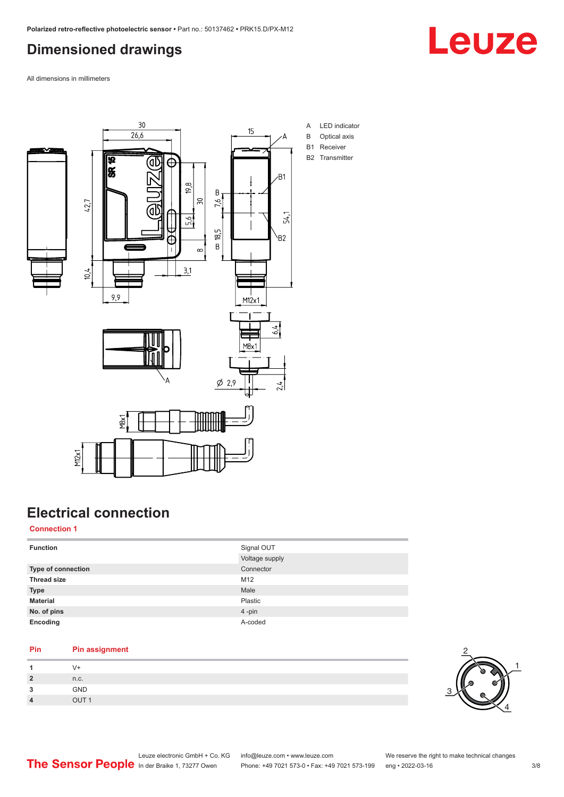### <span id="page-2-0"></span>**Dimensioned drawings**



All dimensions in millimeters



### **Electrical connection**

#### **Connection 1**

| <b>Function</b>    | Signal OUT     |
|--------------------|----------------|
|                    | Voltage supply |
| Type of connection | Connector      |
| <b>Thread size</b> | M12            |
| <b>Type</b>        | Male           |
| <b>Material</b>    | Plastic        |
| No. of pins        | 4-pin          |
| Encoding           | A-coded        |

#### **Pin Pin assignment**

|         | V+   |
|---------|------|
| ຳ       | n.c. |
| ໍາ<br>u | GND  |
|         | TUC  |

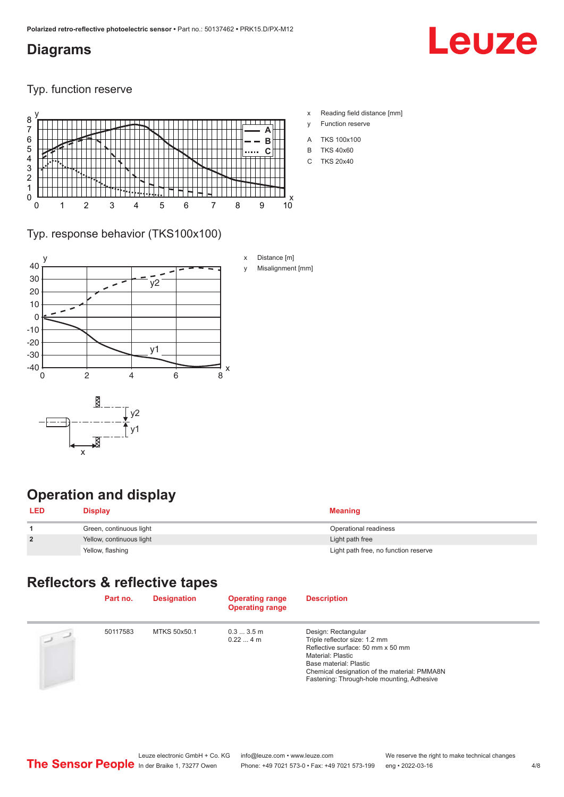#### <span id="page-3-0"></span>**Diagrams**

## Leuze

Typ. function reserve



- x Reading field distance [mm]
- y Function reserve
- A TKS 100x100
- B TKS 40x60
- C TKS 20x40

#### Typ. response behavior (TKS100x100)



### **Operation and display**

| <b>LED</b>     | Display                  | Meaning                              |
|----------------|--------------------------|--------------------------------------|
|                | Green, continuous light  | Operational readiness                |
| $\overline{2}$ | Yellow, continuous light | Light path free                      |
|                | Yellow, flashing         | Light path free, no function reserve |

### **Reflectors & reflective tapes**

|                | Part no. | <b>Designation</b> | <b>Operating range</b><br><b>Operating range</b> | <b>Description</b>                                                                                                                                                                                                                     |
|----------------|----------|--------------------|--------------------------------------------------|----------------------------------------------------------------------------------------------------------------------------------------------------------------------------------------------------------------------------------------|
| $\overline{u}$ | 50117583 | MTKS 50x50.1       | $0.33.5$ m<br>$0.224$ m                          | Design: Rectangular<br>Triple reflector size: 1.2 mm<br>Reflective surface: 50 mm x 50 mm<br>Material: Plastic<br>Base material: Plastic<br>Chemical designation of the material: PMMA8N<br>Fastening: Through-hole mounting, Adhesive |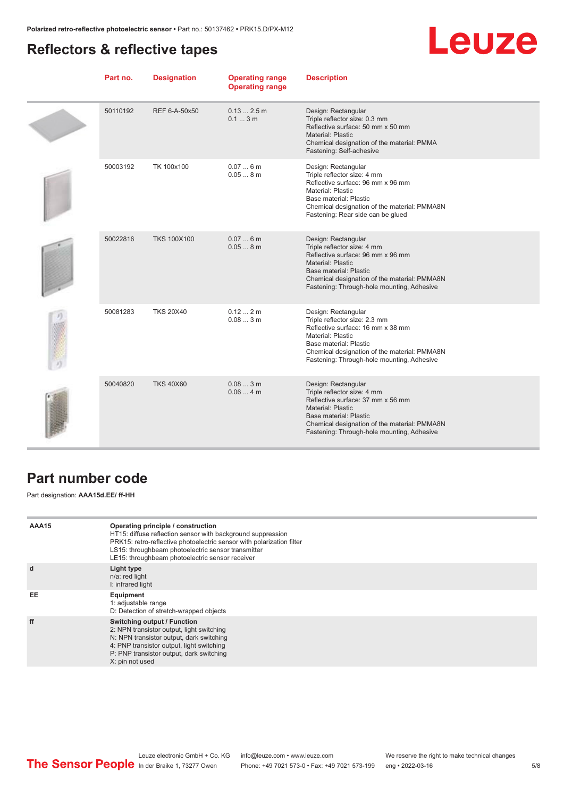### <span id="page-4-0"></span>**Reflectors & reflective tapes**



| Part no. | <b>Designation</b> | <b>Operating range</b><br><b>Operating range</b> | <b>Description</b>                                                                                                                                                                                                                                 |
|----------|--------------------|--------------------------------------------------|----------------------------------------------------------------------------------------------------------------------------------------------------------------------------------------------------------------------------------------------------|
| 50110192 | REF 6-A-50x50      | $0.132.5$ m<br>0.13m                             | Design: Rectangular<br>Triple reflector size: 0.3 mm<br>Reflective surface: 50 mm x 50 mm<br><b>Material: Plastic</b><br>Chemical designation of the material: PMMA<br>Fastening: Self-adhesive                                                    |
| 50003192 | TK 100x100         | 0.076m<br>0.058m                                 | Design: Rectangular<br>Triple reflector size: 4 mm<br>Reflective surface: 96 mm x 96 mm<br>Material: Plastic<br>Base material: Plastic<br>Chemical designation of the material: PMMA8N<br>Fastening: Rear side can be glued                        |
| 50022816 | <b>TKS 100X100</b> | 0.076m<br>0.058m                                 | Design: Rectangular<br>Triple reflector size: 4 mm<br>Reflective surface: 96 mm x 96 mm<br><b>Material: Plastic</b><br><b>Base material: Plastic</b><br>Chemical designation of the material: PMMA8N<br>Fastening: Through-hole mounting, Adhesive |
| 50081283 | <b>TKS 20X40</b>   | 0.122m<br>0.083m                                 | Design: Rectangular<br>Triple reflector size: 2.3 mm<br>Reflective surface: 16 mm x 38 mm<br>Material: Plastic<br>Base material: Plastic<br>Chemical designation of the material: PMMA8N<br>Fastening: Through-hole mounting, Adhesive             |
| 50040820 | <b>TKS 40X60</b>   | 0.083m<br>0.064m                                 | Design: Rectangular<br>Triple reflector size: 4 mm<br>Reflective surface: 37 mm x 56 mm<br><b>Material: Plastic</b><br><b>Base material: Plastic</b><br>Chemical designation of the material: PMMA8N<br>Fastening: Through-hole mounting, Adhesive |

#### **Part number code**

Part designation: **AAA15d.EE/ ff-HH**

| AAA15 | Operating principle / construction<br>HT15: diffuse reflection sensor with background suppression<br>PRK15: retro-reflective photoelectric sensor with polarization filter<br>LS15: throughbeam photoelectric sensor transmitter<br>LE15: throughbeam photoelectric sensor receiver |
|-------|-------------------------------------------------------------------------------------------------------------------------------------------------------------------------------------------------------------------------------------------------------------------------------------|
| d     | Light type<br>n/a: red light<br>I: infrared light                                                                                                                                                                                                                                   |
| EE    | Equipment<br>1: adjustable range<br>D: Detection of stretch-wrapped objects                                                                                                                                                                                                         |
| ff    | Switching output / Function<br>2: NPN transistor output, light switching<br>N: NPN transistor output, dark switching<br>4: PNP transistor output, light switching<br>P: PNP transistor output, dark switching<br>X: pin not used                                                    |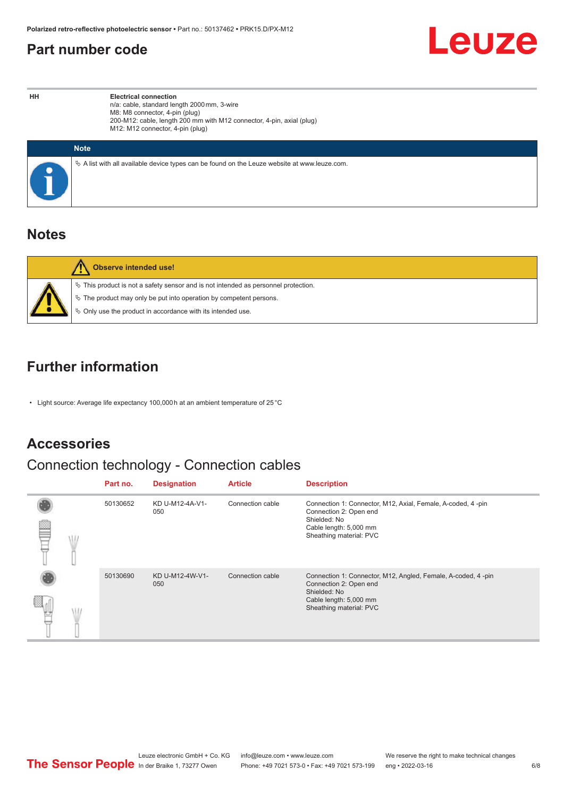#### <span id="page-5-0"></span>**Part number code**



**HH Electrical connection** n/a: cable, standard length 2000 mm, 3-wire M8: M8 connector, 4-pin (plug) 200-M12: cable, length 200 mm with M12 connector, 4-pin, axial (plug) M12: M12 connector, 4-pin (plug)

| <b>Note</b>                                                                                  |
|----------------------------------------------------------------------------------------------|
| ∜ A list with all available device types can be found on the Leuze website at www.leuze.com. |

#### **Notes**

| Observe intended use!                                                                                                                                                                                                         |
|-------------------------------------------------------------------------------------------------------------------------------------------------------------------------------------------------------------------------------|
| $\%$ This product is not a safety sensor and is not intended as personnel protection.<br>₹ The product may only be put into operation by competent persons.<br>$\%$ Only use the product in accordance with its intended use. |

#### **Further information**

• Light source: Average life expectancy 100,000 h at an ambient temperature of 25 °C

#### **Accessories**

### Connection technology - Connection cables

|  | Part no. | <b>Designation</b>     | <b>Article</b>   | <b>Description</b>                                                                                                                                          |
|--|----------|------------------------|------------------|-------------------------------------------------------------------------------------------------------------------------------------------------------------|
|  | 50130652 | KD U-M12-4A-V1-<br>050 | Connection cable | Connection 1: Connector, M12, Axial, Female, A-coded, 4-pin<br>Connection 2: Open end<br>Shielded: No<br>Cable length: 5,000 mm<br>Sheathing material: PVC  |
|  | 50130690 | KD U-M12-4W-V1-<br>050 | Connection cable | Connection 1: Connector, M12, Angled, Female, A-coded, 4-pin<br>Connection 2: Open end<br>Shielded: No<br>Cable length: 5,000 mm<br>Sheathing material: PVC |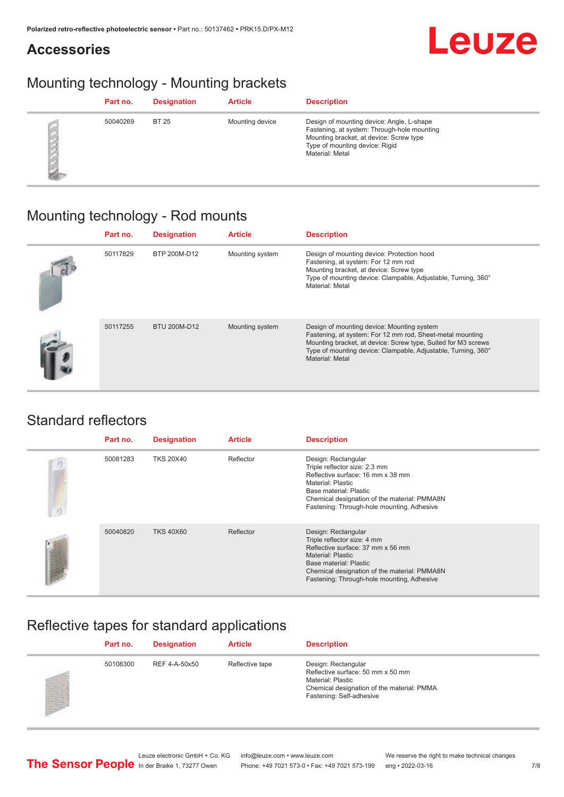#### **Accessories**

### Mounting technology - Mounting brackets

| Part no. | <b>Designation</b> | <b>Article</b>  | <b>Description</b>                                                                                                                                                                       |
|----------|--------------------|-----------------|------------------------------------------------------------------------------------------------------------------------------------------------------------------------------------------|
| 50040269 | <b>BT 25</b>       | Mounting device | Design of mounting device: Angle, L-shape<br>Fastening, at system: Through-hole mounting<br>Mounting bracket, at device: Screw type<br>Type of mounting device: Rigid<br>Material: Metal |

### Mounting technology - Rod mounts

| Part no. | <b>Designation</b> | <b>Article</b>  | <b>Description</b>                                                                                                                                                                                                                                           |
|----------|--------------------|-----------------|--------------------------------------------------------------------------------------------------------------------------------------------------------------------------------------------------------------------------------------------------------------|
| 50117829 | BTP 200M-D12       | Mounting system | Design of mounting device: Protection hood<br>Fastening, at system: For 12 mm rod<br>Mounting bracket, at device: Screw type<br>Type of mounting device: Clampable, Adjustable, Turning, 360°<br>Material: Metal                                             |
| 50117255 | BTU 200M-D12       | Mounting system | Design of mounting device: Mounting system<br>Fastening, at system: For 12 mm rod, Sheet-metal mounting<br>Mounting bracket, at device: Screw type, Suited for M3 screws<br>Type of mounting device: Clampable, Adjustable, Turning, 360°<br>Material: Metal |

#### Standard reflectors

| Part no. | <b>Designation</b> | <b>Article</b> | <b>Description</b>                                                                                                                                                                                                                          |
|----------|--------------------|----------------|---------------------------------------------------------------------------------------------------------------------------------------------------------------------------------------------------------------------------------------------|
| 50081283 | <b>TKS 20X40</b>   | Reflector      | Design: Rectangular<br>Triple reflector size: 2.3 mm<br>Reflective surface: 16 mm x 38 mm<br>Material: Plastic<br>Base material: Plastic<br>Chemical designation of the material: PMMA8N<br>Fastening: Through-hole mounting, Adhesive      |
| 50040820 | <b>TKS 40X60</b>   | Reflector      | Design: Rectangular<br>Triple reflector size: 4 mm<br>Reflective surface: 37 mm x 56 mm<br><b>Material: Plastic</b><br>Base material: Plastic<br>Chemical designation of the material: PMMA8N<br>Fastening: Through-hole mounting, Adhesive |

### Reflective tapes for standard applications

| Part no. | <b>Designation</b> | <b>Article</b>  | <b>Description</b>                                                                                                                                      |
|----------|--------------------|-----------------|---------------------------------------------------------------------------------------------------------------------------------------------------------|
| 50108300 | REF 4-A-50x50      | Reflective tape | Design: Rectangular<br>Reflective surface: 50 mm x 50 mm<br>Material: Plastic<br>Chemical designation of the material: PMMA<br>Fastening: Self-adhesive |